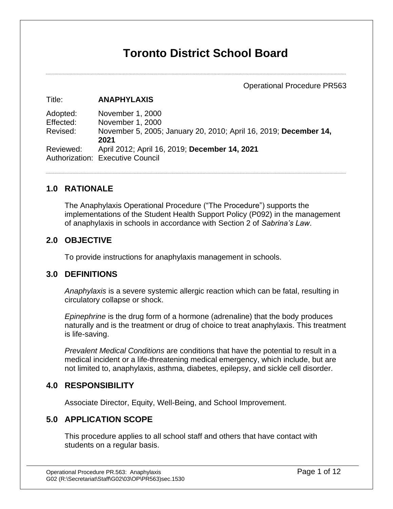# **Toronto District School Board**

Operational Procedure PR563

#### Title: **ANAPHYLAXIS**

Adopted: November 1, 2000 Effected: November 1, 2000 Revised: November 5, 2005; January 20, 2010; April 16, 2019; **December 14, 2021** Reviewed: April 2012; April 16, 2019; **December 14, 2021** Authorization: Executive Council

### **1.0 RATIONALE**

The Anaphylaxis Operational Procedure ("The Procedure") supports the implementations of the Student Health Support Policy (P092) in the management of anaphylaxis in schools in accordance with Section 2 of *Sabrina's Law*.

### **2.0 OBJECTIVE**

To provide instructions for anaphylaxis management in schools.

### **3.0 DEFINITIONS**

*Anaphylaxis* is a severe systemic allergic reaction which can be fatal, resulting in circulatory collapse or shock.

*Epinephrine* is the drug form of a hormone (adrenaline) that the body produces naturally and is the treatment or drug of choice to treat anaphylaxis. This treatment is life-saving.

*Prevalent Medical Conditions* are conditions that have the potential to result in a medical incident or a life-threatening medical emergency, which include, but are not limited to, anaphylaxis, asthma, diabetes, epilepsy, and sickle cell disorder.

### **4.0 RESPONSIBILITY**

Associate Director, Equity, Well-Being, and School Improvement.

### **5.0 APPLICATION SCOPE**

This procedure applies to all school staff and others that have contact with students on a regular basis.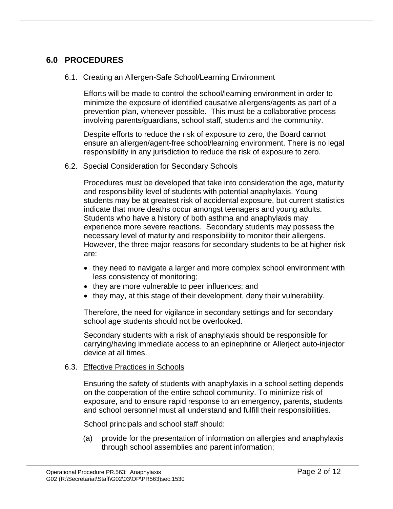### **6.0 PROCEDURES**

### 6.1. Creating an Allergen-Safe School/Learning Environment

Efforts will be made to control the school/learning environment in order to minimize the exposure of identified causative allergens/agents as part of a prevention plan, whenever possible. This must be a collaborative process involving parents/guardians, school staff, students and the community.

Despite efforts to reduce the risk of exposure to zero, the Board cannot ensure an allergen/agent-free school/learning environment. There is no legal responsibility in any jurisdiction to reduce the risk of exposure to zero.

#### 6.2. Special Consideration for Secondary Schools

Procedures must be developed that take into consideration the age, maturity and responsibility level of students with potential anaphylaxis. Young students may be at greatest risk of accidental exposure, but current statistics indicate that more deaths occur amongst teenagers and young adults. Students who have a history of both asthma and anaphylaxis may experience more severe reactions. Secondary students may possess the necessary level of maturity and responsibility to monitor their allergens. However, the three major reasons for secondary students to be at higher risk are:

- they need to navigate a larger and more complex school environment with less consistency of monitoring;
- they are more vulnerable to peer influences; and
- they may, at this stage of their development, deny their vulnerability.

Therefore, the need for vigilance in secondary settings and for secondary school age students should not be overlooked.

Secondary students with a risk of anaphylaxis should be responsible for carrying/having immediate access to an epinephrine or Allerject auto-injector device at all times.

#### 6.3. Effective Practices in Schools

Ensuring the safety of students with anaphylaxis in a school setting depends on the cooperation of the entire school community. To minimize risk of exposure, and to ensure rapid response to an emergency, parents, students and school personnel must all understand and fulfill their responsibilities.

School principals and school staff should:

(a) provide for the presentation of information on allergies and anaphylaxis through school assemblies and parent information;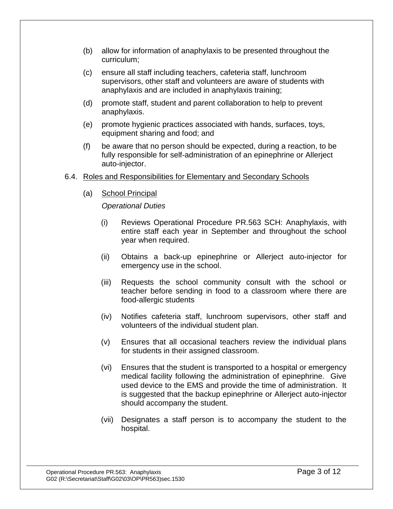- (b) allow for information of anaphylaxis to be presented throughout the curriculum;
- (c) ensure all staff including teachers, cafeteria staff, lunchroom supervisors, other staff and volunteers are aware of students with anaphylaxis and are included in anaphylaxis training;
- (d) promote staff, student and parent collaboration to help to prevent anaphylaxis.
- (e) promote hygienic practices associated with hands, surfaces, toys, equipment sharing and food; and
- (f) be aware that no person should be expected, during a reaction, to be fully responsible for self-administration of an epinephrine or Allerject auto-injector.

### 6.4. Roles and Responsibilities for Elementary and Secondary Schools

(a) School Principal

### *Operational Duties*

- (i) Reviews Operational Procedure PR.563 SCH: Anaphylaxis, with entire staff each year in September and throughout the school year when required.
- (ii) Obtains a back-up epinephrine or Allerject auto-injector for emergency use in the school.
- (iii) Requests the school community consult with the school or teacher before sending in food to a classroom where there are food-allergic students
- (iv) Notifies cafeteria staff, lunchroom supervisors, other staff and volunteers of the individual student plan.
- (v) Ensures that all occasional teachers review the individual plans for students in their assigned classroom.
- (vi) Ensures that the student is transported to a hospital or emergency medical facility following the administration of epinephrine. Give used device to the EMS and provide the time of administration. It is suggested that the backup epinephrine or Allerject auto-injector should accompany the student.
- (vii) Designates a staff person is to accompany the student to the hospital.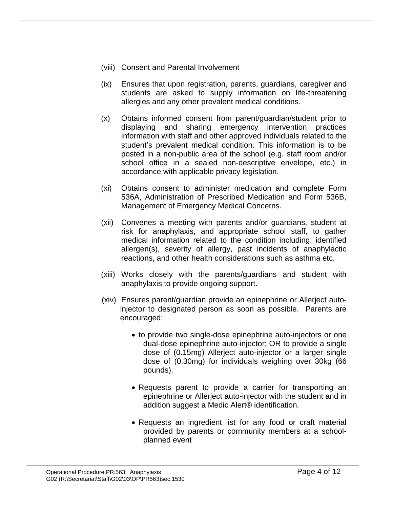- (viii) Consent and Parental Involvement
- (ix) Ensures that upon registration, parents, guardians, caregiver and students are asked to supply information on life-threatening allergies and any other prevalent medical conditions.
- (x) Obtains informed consent from parent/guardian/student prior to displaying and sharing emergency intervention practices information with staff and other approved individuals related to the student's prevalent medical condition. This information is to be posted in a non-public area of the school (e.g. staff room and/or school office in a sealed non-descriptive envelope, etc.) in accordance with applicable privacy legislation.
- (xi) Obtains consent to administer medication and complete Form 536A, Administration of Prescribed Medication and Form 536B, Management of Emergency Medical Concerns.
- (xii) Convenes a meeting with parents and/or guardians, student at risk for anaphylaxis, and appropriate school staff, to gather medical information related to the condition including: identified allergen(s), severity of allergy, past incidents of anaphylactic reactions, and other health considerations such as asthma etc.
- (xiii) Works closely with the parents/guardians and student with anaphylaxis to provide ongoing support.
- (xiv) Ensures parent/guardian provide an epinephrine or Allerject autoinjector to designated person as soon as possible. Parents are encouraged:
	- to provide two single-dose epinephrine auto-injectors or one dual-dose epinephrine auto-injector; OR to provide a single dose of (0.15mg) Allerject auto-injector or a larger single dose of (0.30mg) for individuals weighing over 30kg (66 pounds).
	- Requests parent to provide a carrier for transporting an epinephrine or Allerject auto-injector with the student and in addition suggest a Medic Alert® identification.
	- Requests an ingredient list for any food or craft material provided by parents or community members at a schoolplanned event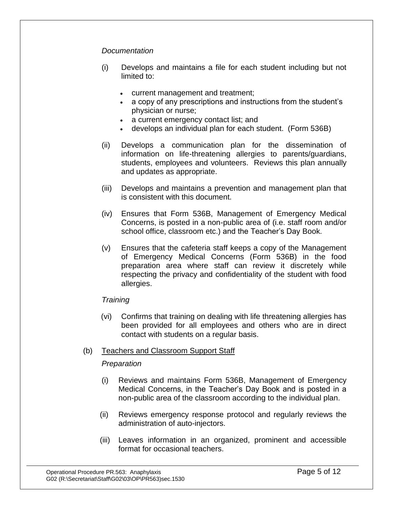### *Documentation*

- (i) Develops and maintains a file for each student including but not limited to:
	- current management and treatment;
	- a copy of any prescriptions and instructions from the student's physician or nurse;
	- a current emergency contact list; and
	- develops an individual plan for each student. (Form 536B)
- (ii) Develops a communication plan for the dissemination of information on life-threatening allergies to parents/guardians, students, employees and volunteers. Reviews this plan annually and updates as appropriate.
- (iii) Develops and maintains a prevention and management plan that is consistent with this document.
- (iv) Ensures that Form 536B, Management of Emergency Medical Concerns, is posted in a non-public area of (i.e. staff room and/or school office, classroom etc.) and the Teacher's Day Book.
- (v) Ensures that the cafeteria staff keeps a copy of the Management of Emergency Medical Concerns (Form 536B) in the food preparation area where staff can review it discretely while respecting the privacy and confidentiality of the student with food allergies.

### *Training*

(vi) Confirms that training on dealing with life threatening allergies has been provided for all employees and others who are in direct contact with students on a regular basis.

#### (b) Teachers and Classroom Support Staff

#### *Preparation*

- (i) Reviews and maintains Form 536B, Management of Emergency Medical Concerns, in the Teacher's Day Book and is posted in a non-public area of the classroom according to the individual plan.
- (ii) Reviews emergency response protocol and regularly reviews the administration of auto-injectors.
- (iii) Leaves information in an organized, prominent and accessible format for occasional teachers.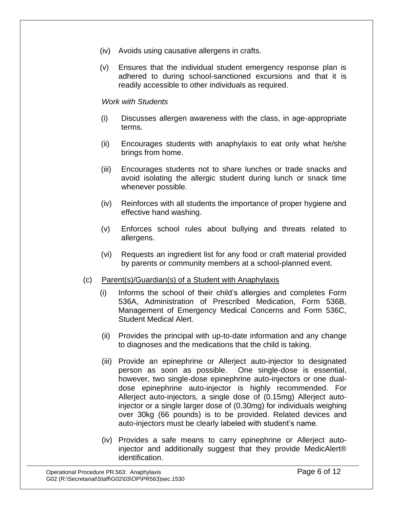- (iv) Avoids using causative allergens in crafts.
- (v) Ensures that the individual student emergency response plan is adhered to during school-sanctioned excursions and that it is readily accessible to other individuals as required.

#### *Work with Students*

- (i) Discusses allergen awareness with the class, in age-appropriate terms.
- (ii) Encourages students with anaphylaxis to eat only what he/she brings from home.
- (iii) Encourages students not to share lunches or trade snacks and avoid isolating the allergic student during lunch or snack time whenever possible.
- (iv) Reinforces with all students the importance of proper hygiene and effective hand washing.
- (v) Enforces school rules about bullying and threats related to allergens.
- (vi) Requests an ingredient list for any food or craft material provided by parents or community members at a school-planned event.
- (c) Parent(s)/Guardian(s) of a Student with Anaphylaxis
	- (i) Informs the school of their child's allergies and completes Form 536A, Administration of Prescribed Medication, Form 536B, Management of Emergency Medical Concerns and Form 536C, Student Medical Alert.
	- (ii) Provides the principal with up-to-date information and any change to diagnoses and the medications that the child is taking.
	- (iii) Provide an epinephrine or Allerject auto-injector to designated person as soon as possible. One single-dose is essential, however, two single-dose epinephrine auto-injectors or one dualdose epinephrine auto-injector is highly recommended. For Allerject auto-injectors, a single dose of (0.15mg) Allerject autoinjector or a single larger dose of (0.30mg) for individuals weighing over 30kg (66 pounds) is to be provided. Related devices and auto-injectors must be clearly labeled with student's name.
	- (iv) Provides a safe means to carry epinephrine or Allerject autoinjector and additionally suggest that they provide MedicAlert® identification.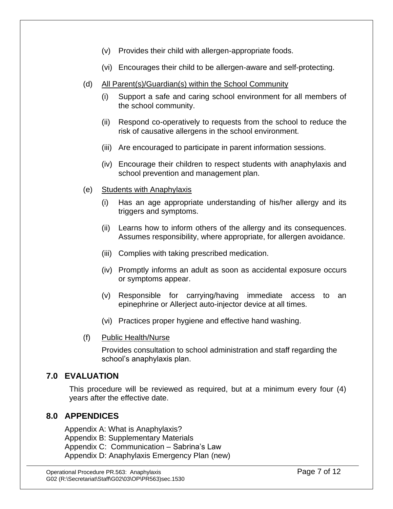- (v) Provides their child with allergen-appropriate foods.
- (vi) Encourages their child to be allergen-aware and self-protecting.
- (d) All Parent(s)/Guardian(s) within the School Community
	- (i) Support a safe and caring school environment for all members of the school community.
	- (ii) Respond co-operatively to requests from the school to reduce the risk of causative allergens in the school environment.
	- (iii) Are encouraged to participate in parent information sessions.
	- (iv) Encourage their children to respect students with anaphylaxis and school prevention and management plan.
- (e) Students with Anaphylaxis
	- (i) Has an age appropriate understanding of his/her allergy and its triggers and symptoms.
	- (ii) Learns how to inform others of the allergy and its consequences. Assumes responsibility, where appropriate, for allergen avoidance.
	- (iii) Complies with taking prescribed medication.
	- (iv) Promptly informs an adult as soon as accidental exposure occurs or symptoms appear.
	- (v) Responsible for carrying/having immediate access to an epinephrine or Allerject auto-injector device at all times.
	- (vi) Practices proper hygiene and effective hand washing.
- (f) Public Health/Nurse

Provides consultation to school administration and staff regarding the school's anaphylaxis plan.

### **7.0 EVALUATION**

This procedure will be reviewed as required, but at a minimum every four (4) years after the effective date.

### **8.0 APPENDICES**

Appendix A: What is Anaphylaxis? Appendix B: Supplementary Materials Appendix C: Communication – Sabrina's Law Appendix D: Anaphylaxis Emergency Plan (new)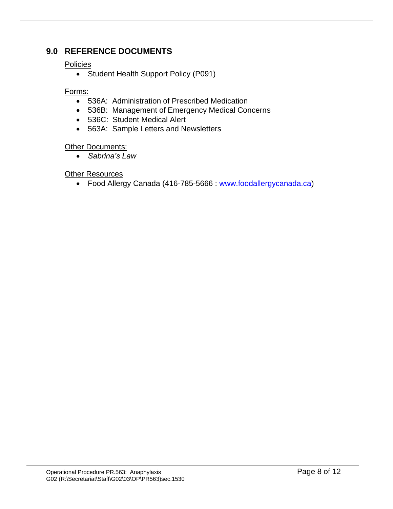### **9.0 REFERENCE DOCUMENTS**

### **Policies**

• Student Health Support Policy (P091)

### Forms:

- 536A: Administration of Prescribed Medication
- 536B: Management of Emergency Medical Concerns
- 536C: Student Medical Alert
- 563A: Sample Letters and Newsletters

### **Other Documents:**

• *Sabrina's Law*

### Other Resources

• Food Allergy Canada (416-785-5666 : [www.foodallergycanada.ca\)](http://www.foodallergycanada.ca/)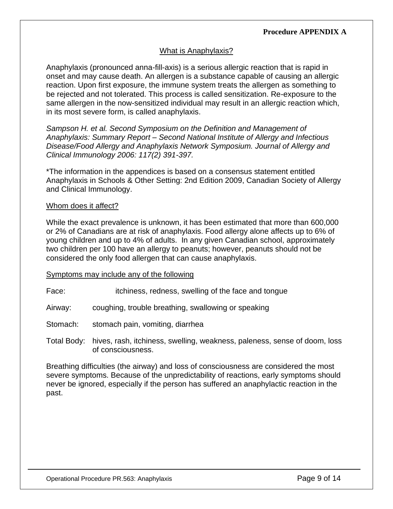### What is Anaphylaxis?

Anaphylaxis (pronounced anna-fill-axis) is a serious allergic reaction that is rapid in onset and may cause death. An allergen is a substance capable of causing an allergic reaction. Upon first exposure, the immune system treats the allergen as something to be rejected and not tolerated. This process is called sensitization. Re-exposure to the same allergen in the now-sensitized individual may result in an allergic reaction which, in its most severe form, is called anaphylaxis.

*Sampson H. et al. Second Symposium on the Definition and Management of Anaphylaxis: Summary Report – Second National Institute of Allergy and Infectious Disease/Food Allergy and Anaphylaxis Network Symposium. Journal of Allergy and Clinical Immunology 2006: 117(2) 391-397.*

\*The information in the appendices is based on a consensus statement entitled Anaphylaxis in Schools & Other Setting: 2nd Edition 2009, Canadian Society of Allergy and Clinical Immunology.

#### Whom does it affect?

While the exact prevalence is unknown, it has been estimated that more than 600,000 or 2% of Canadians are at risk of anaphylaxis. Food allergy alone affects up to 6% of young children and up to 4% of adults. In any given Canadian school, approximately two children per 100 have an allergy to peanuts; however, peanuts should not be considered the only food allergen that can cause anaphylaxis.

#### Symptoms may include any of the following

Face: itchiness, redness, swelling of the face and tongue

Airway: coughing, trouble breathing, swallowing or speaking

Stomach: stomach pain, vomiting, diarrhea

Total Body: hives, rash, itchiness, swelling, weakness, paleness, sense of doom, loss of consciousness.

Breathing difficulties (the airway) and loss of consciousness are considered the most severe symptoms. Because of the unpredictability of reactions, early symptoms should never be ignored, especially if the person has suffered an anaphylactic reaction in the past.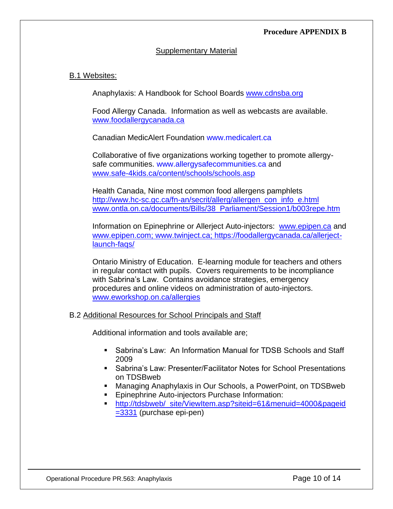#### **Procedure APPENDIX B**

#### Supplementary Material

### B.1 Websites:

Anaphylaxis: A Handbook for School Boards [www.cdnsba.org](http://www.cdnsba.org/)

Food Allergy Canada. Information as well as webcasts are available. [www.foodallergycanada.ca](http://www.foodallergycanada.ca/)

Canadian MedicAlert Foundation [www.medicalert.ca](http://www.medicalert.ca/)

Collaborative of five organizations working together to promote allergysafe communities. [www.allergysafecommunities.ca](http://www.allergysafecommunities.ca/) and [www.safe-4kids.ca/content/schools/schools.asp](http://www.safe-4kids.ca/content/schools/schools.asp)

Health Canada, Nine most common food allergens pamphlets [http://www.hc-sc.gc.ca/fn-an/secrit/allerg/allergen\\_con\\_info\\_e.html](http://www.hc-sc.gc.ca/fn-an/secrit/allerg/allergen_con_info_e.html) [www.ontla.on.ca/documents/Bills/38\\_Parliament/Session1/b003repe.htm](http://www.ontla.on.ca/documents/Bills/38_Parliament/Session1/b003repe.htm)

Information on Epinephrine or Allerject Auto-injectors: [www.epipen.ca](http://www.epipen.ca/) and [www.epipen.com;](http://www.epipen.com/) [www.twinject.ca;](http://www.twinject.ca/) https://foodallergycanada.ca/allerjectlaunch-faqs/

Ontario Ministry of Education. E-learning module for teachers and others in regular contact with pupils. Covers requirements to be incompliance with Sabrina's Law. Contains avoidance strategies, emergency procedures and online videos on administration of auto-injectors. [www.eworkshop.on.ca/allergies](http://www.eworkshop.on.ca/allergies)

#### B.2 Additional Resources for School Principals and Staff

Additional information and tools available are;

- Sabrina's Law: An Information Manual for TDSB Schools and Staff 2009
- Sabrina's Law: Presenter/Facilitator Notes for School Presentations on TDSBweb
- Managing Anaphylaxis in Our Schools, a PowerPoint, on TDSBweb
- Epinephrine Auto-injectors Purchase Information:
- [http://tdsbweb/\\_site/ViewItem.asp?siteid=61&menuid=4000&pageid](http://tdsbweb/_site/ViewItem.asp?siteid=61&menuid=4000&pageid=3331) [=3331](http://tdsbweb/_site/ViewItem.asp?siteid=61&menuid=4000&pageid=3331) (purchase epi-pen)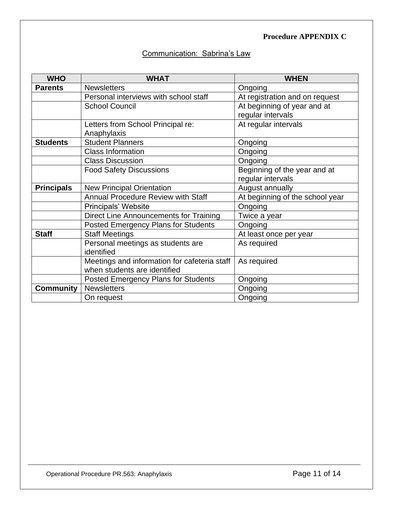### **Procedure APPENDIX C**

### Communication: Sabrina's Law

| <b>WHO</b>        | <b>WHAT</b>                                  | <b>WHEN</b>                     |
|-------------------|----------------------------------------------|---------------------------------|
| <b>Parents</b>    | <b>Newsletters</b>                           | Ongoing                         |
|                   | Personal interviews with school staff        | At registration and on request  |
|                   | <b>School Council</b>                        | At beginning of year and at     |
|                   |                                              | regular intervals               |
|                   | Letters from School Principal re:            | At regular intervals            |
|                   | Anaphylaxis                                  |                                 |
| <b>Students</b>   | <b>Student Planners</b>                      | Ongoing                         |
|                   | <b>Class Information</b>                     | Ongoing                         |
|                   | <b>Class Discussion</b>                      | Ongoing                         |
|                   | <b>Food Safety Discussions</b>               | Beginning of the year and at    |
|                   |                                              | regular intervals               |
| <b>Principals</b> | <b>New Principal Orientation</b>             | August annually                 |
|                   | <b>Annual Procedure Review with Staff</b>    | At beginning of the school year |
|                   | Principals' Website                          | Ongoing                         |
|                   | Direct Line Announcements for Training       | Twice a year                    |
|                   | <b>Posted Emergency Plans for Students</b>   | Ongoing                         |
| <b>Staff</b>      | <b>Staff Meetings</b>                        | At least once per year          |
|                   | Personal meetings as students are            | As required                     |
|                   | identified                                   |                                 |
|                   | Meetings and information for cafeteria staff | As required                     |
|                   | when students are identified                 |                                 |
|                   | <b>Posted Emergency Plans for Students</b>   | Ongoing                         |
| <b>Community</b>  | <b>Newsletters</b>                           | Ongoing                         |
|                   | On request                                   | Ongoing                         |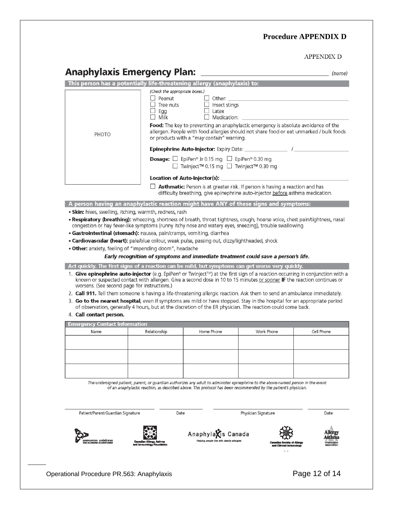### **Procedure APPENDIX D**

#### APPENDIX D

|  | <b>Anaphylaxis Emergency Plan:</b> |  |
|--|------------------------------------|--|
|  |                                    |  |

|                                               |                                                                                                                                                                                                                                         | This person has a potentially life-threatening allergy (anaphylaxis) to:    |                                                                                                                                                                              |                            |
|-----------------------------------------------|-----------------------------------------------------------------------------------------------------------------------------------------------------------------------------------------------------------------------------------------|-----------------------------------------------------------------------------|------------------------------------------------------------------------------------------------------------------------------------------------------------------------------|----------------------------|
|                                               | (Check the appropriate boxes.)                                                                                                                                                                                                          |                                                                             |                                                                                                                                                                              |                            |
|                                               | □ Peanut<br>reanut<br>Tree nuts<br>Fee                                                                                                                                                                                                  | $\Box$ Other:<br>$\Box$ Insect stings                                       |                                                                                                                                                                              |                            |
|                                               | Ŋ.<br>Egg                                                                                                                                                                                                                               | $\Box$ Latex                                                                |                                                                                                                                                                              |                            |
|                                               | Milk<br>$\Box$                                                                                                                                                                                                                          | Medication:                                                                 |                                                                                                                                                                              |                            |
|                                               |                                                                                                                                                                                                                                         |                                                                             | Food: The key to preventing an anaphylactic emergency is absolute avoidance of the                                                                                           |                            |
| PHOTO                                         |                                                                                                                                                                                                                                         |                                                                             | allergen. People with food allergies should not share food or eat unmarked / bulk foods                                                                                      |                            |
|                                               |                                                                                                                                                                                                                                         | or products with a "may contain" warning.                                   |                                                                                                                                                                              |                            |
|                                               |                                                                                                                                                                                                                                         |                                                                             |                                                                                                                                                                              |                            |
|                                               |                                                                                                                                                                                                                                         | <b>Dosage:</b> $\Box$ EpiPen <sup>®</sup> Jr 0.15 mg $\Box$ EpiPen® 0.30 mg |                                                                                                                                                                              |                            |
|                                               |                                                                                                                                                                                                                                         | Twinject™ 0.15 mg I Twinject™ 0.30 mg                                       |                                                                                                                                                                              |                            |
|                                               |                                                                                                                                                                                                                                         | Location of Auto-Injector(s):                                               |                                                                                                                                                                              |                            |
|                                               |                                                                                                                                                                                                                                         |                                                                             | $\Box$ <b>Asthmatic:</b> Person is at greater risk. If person is having a reaction and has<br>difficulty breathing, give epinephrine auto-injector before asthma medication. |                            |
|                                               | A person having an anaphylactic reaction might have ANY of these signs and symptoms:                                                                                                                                                    |                                                                             |                                                                                                                                                                              |                            |
|                                               | • Skin: hives, swelling, itching, warmth, redness, rash                                                                                                                                                                                 |                                                                             |                                                                                                                                                                              |                            |
|                                               | . Respiratory (breathing): wheezing, shortness of breath, throat tightness, cough, hoarse voice, chest pain/tightness, nasal                                                                                                            |                                                                             |                                                                                                                                                                              |                            |
|                                               | congestion or hay fever-like symptoms (runny itchy nose and watery eyes, sneezing), trouble swallowing                                                                                                                                  |                                                                             |                                                                                                                                                                              |                            |
|                                               | · Gastrointestinal (stomach): nausea, pain/cramps, vomiting, diarrhea                                                                                                                                                                   |                                                                             |                                                                                                                                                                              |                            |
|                                               | . Cardiovascular (heart): pale/blue colour, weak pulse, passing out, dizzy/lightheaded, shock                                                                                                                                           |                                                                             |                                                                                                                                                                              |                            |
|                                               | . Other: anxiety, feeling of "impending doom", headache                                                                                                                                                                                 |                                                                             |                                                                                                                                                                              |                            |
|                                               | Early recognition of symptoms and immediate treatment could save a person's life.                                                                                                                                                       |                                                                             |                                                                                                                                                                              |                            |
|                                               |                                                                                                                                                                                                                                         |                                                                             |                                                                                                                                                                              |                            |
|                                               | Act quickly. The first signs of a reaction can be mild, but symptoms can get worse very quickly.<br>1. Give epinephrine auto-injector (e.g. EpiPen® or Twinject™) at the first sign of a reaction occurring in conjunction with a       |                                                                             |                                                                                                                                                                              |                            |
|                                               | worsens. (See second page for instructions.)                                                                                                                                                                                            |                                                                             |                                                                                                                                                                              |                            |
|                                               | 3. Go to the nearest hospital, even if symptoms are mild or have stopped. Stay in the hospital for an appropriate period<br>of observation, generally 4 hours, but at the discretion of the ER physician. The reaction could come back. |                                                                             | 2. Call 911. Tell them someone is having a life-threatening allergic reaction. Ask them to send an ambulance immediately.                                                    |                            |
| 4. Call contact person.                       |                                                                                                                                                                                                                                         |                                                                             |                                                                                                                                                                              |                            |
| <b>Emergency Contact Information</b>          |                                                                                                                                                                                                                                         |                                                                             |                                                                                                                                                                              |                            |
| Name                                          | Relationship                                                                                                                                                                                                                            | Home Phone                                                                  | Work Phone                                                                                                                                                                   | Cell Phone                 |
|                                               |                                                                                                                                                                                                                                         |                                                                             |                                                                                                                                                                              |                            |
|                                               |                                                                                                                                                                                                                                         |                                                                             |                                                                                                                                                                              |                            |
|                                               |                                                                                                                                                                                                                                         |                                                                             |                                                                                                                                                                              |                            |
|                                               |                                                                                                                                                                                                                                         |                                                                             |                                                                                                                                                                              |                            |
|                                               |                                                                                                                                                                                                                                         |                                                                             |                                                                                                                                                                              |                            |
|                                               |                                                                                                                                                                                                                                         |                                                                             |                                                                                                                                                                              |                            |
|                                               | The undersigned patient, parent, or guardian authorizes any adult to administer epinephrine to the above-named person in the event                                                                                                      |                                                                             |                                                                                                                                                                              |                            |
|                                               | of an anaphylactic reaction, as described above. This protocol has been recommended by the patient's physician.                                                                                                                         |                                                                             |                                                                                                                                                                              |                            |
|                                               |                                                                                                                                                                                                                                         |                                                                             |                                                                                                                                                                              |                            |
|                                               |                                                                                                                                                                                                                                         |                                                                             |                                                                                                                                                                              |                            |
| Patient/Parent/Guardian Signature             | Date                                                                                                                                                                                                                                    |                                                                             | Physician Signature                                                                                                                                                          | Date                       |
|                                               |                                                                                                                                                                                                                                         |                                                                             |                                                                                                                                                                              |                            |
|                                               |                                                                                                                                                                                                                                         |                                                                             |                                                                                                                                                                              |                            |
|                                               |                                                                                                                                                                                                                                         | Anaphylaxis Canada                                                          |                                                                                                                                                                              | Allerg<br>Asthma           |
| OCIATION QUÉBÉCOISE<br>ALLERGIES ALIMENTAIRES | <b>Canadan Allergy, Asthma</b>                                                                                                                                                                                                          | Helping people live with deadly allergies                                   | <b>Canadian Society of Allarmy</b>                                                                                                                                           |                            |
|                                               | and immunology Foundation                                                                                                                                                                                                               |                                                                             | and Clinical Immunology<br>مالد                                                                                                                                              | Information<br>association |
|                                               |                                                                                                                                                                                                                                         |                                                                             |                                                                                                                                                                              |                            |
|                                               |                                                                                                                                                                                                                                         |                                                                             |                                                                                                                                                                              |                            |

Operational Procedure PR.563: Anaphylaxis **Page 12 of 14**